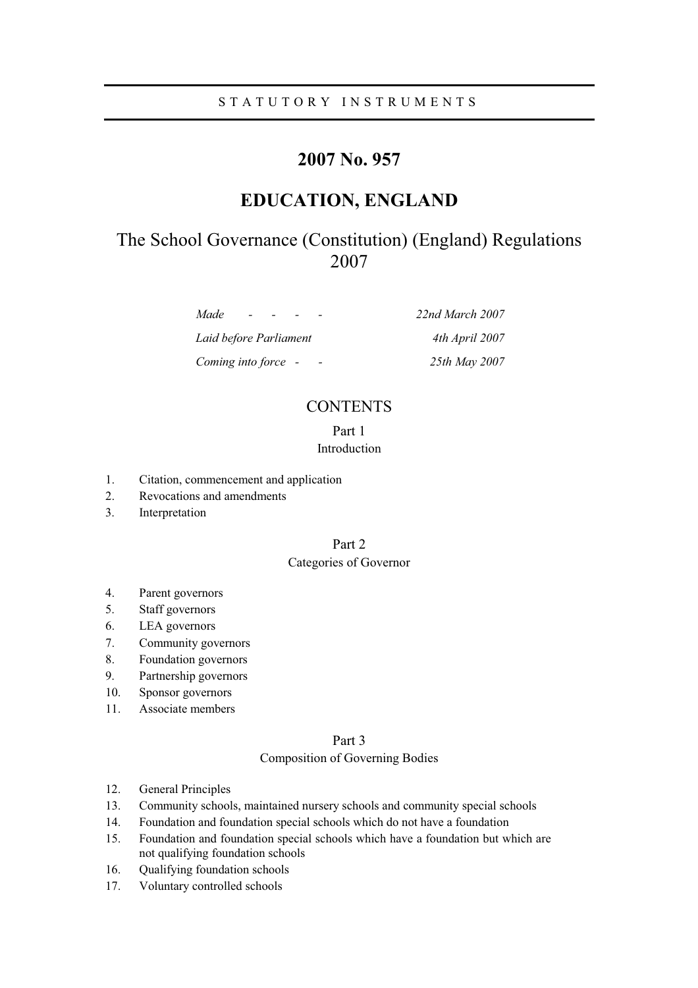# STATUTORY INSTRUMENTS

# **2007 No. 957**

# **EDUCATION, ENGLAND**

# The School Governance (Constitution) (England) Regulations 2007

*Made - - - - 22nd March 2007* 

*Laid before Parliament 4th April 2007 Coming into force - - 25th May 2007* 

# **CONTENTS**

# Part 1 Introduction

- 1. Citation, commencement and application
- 2. Revocations and amendments
- 3. Interpretation

# Part 2

# Categories of Governor

- 4. Parent governors
- 5. Staff governors
- 6. LEA governors
- 7. Community governors
- 8. Foundation governors
- 9. Partnership governors
- 10. Sponsor governors
- 11. Associate members

# Part 3

# Composition of Governing Bodies

- 12. General Principles
- 13. Community schools, maintained nursery schools and community special schools
- 14. Foundation and foundation special schools which do not have a foundation
- 15. Foundation and foundation special schools which have a foundation but which are not qualifying foundation schools
- 16. Qualifying foundation schools
- 17. Voluntary controlled schools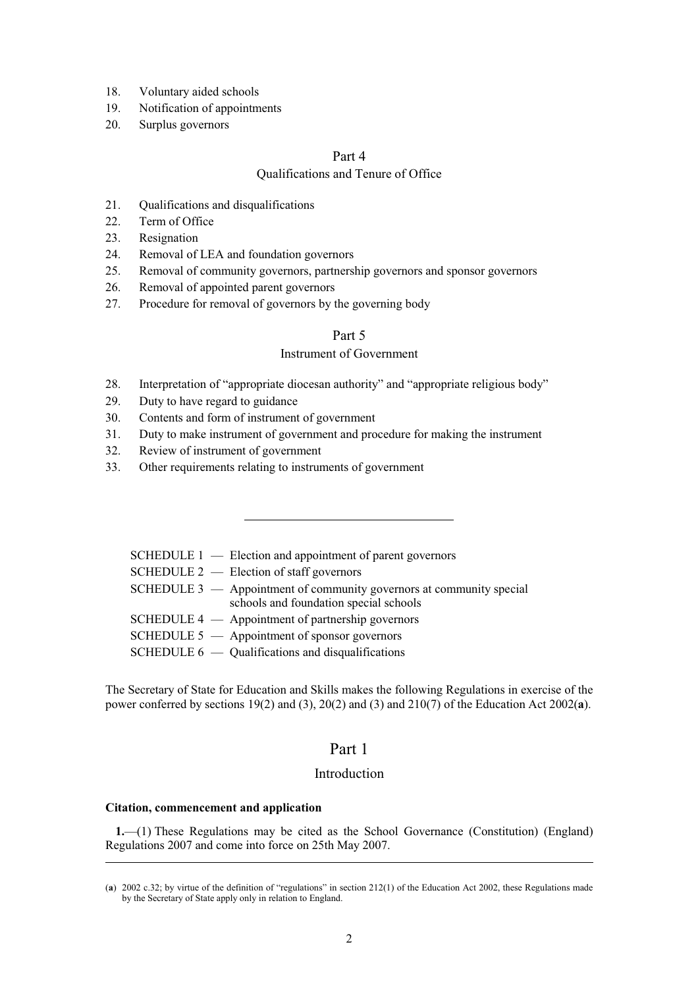- 18. Voluntary aided schools
- 19. Notification of appointments
- 20. Surplus governors

# Part 4

# Qualifications and Tenure of Office

- 21. Qualifications and disqualifications
- 22. Term of Office
- 23. Resignation
- 24. Removal of LEA and foundation governors
- 25. Removal of community governors, partnership governors and sponsor governors
- 26. Removal of appointed parent governors
- 27. Procedure for removal of governors by the governing body

# Part 5

# Instrument of Government

- 28. Interpretation of "appropriate diocesan authority" and "appropriate religious body"
- 29. Duty to have regard to guidance
- 30. Contents and form of instrument of government
- 31. Duty to make instrument of government and procedure for making the instrument
- 32. Review of instrument of government
- 33. Other requirements relating to instruments of government

|  | SCHEDULE $1$ — Election and appointment of parent governors                                                      |
|--|------------------------------------------------------------------------------------------------------------------|
|  | SCHEDULE $2$ — Election of staff governors                                                                       |
|  | SCHEDULE $3 -$ Appointment of community governors at community special<br>schools and foundation special schools |
|  | SCHEDULE $4 -$ Appointment of partnership governors                                                              |
|  | SCHEDULE $5 -$ Appointment of sponsor governors                                                                  |
|  | SCHEDULE $6 -$ Qualifications and disqualifications                                                              |

The Secretary of State for Education and Skills makes the following Regulations in exercise of the power conferred by sections 19(2) and (3), 20(2) and (3) and 210(7) of the Education Act 2002(**a**).

# Part 1

# Introduction

## **Citation, commencement and application**

**1.**—(1) These Regulations may be cited as the School Governance (Constitution) (England) Regulations 2007 and come into force on 25th May 2007.

<sup>(</sup>**a**) 2002 c.32; by virtue of the definition of "regulations" in section 212(1) of the Education Act 2002, these Regulations made by the Secretary of State apply only in relation to England.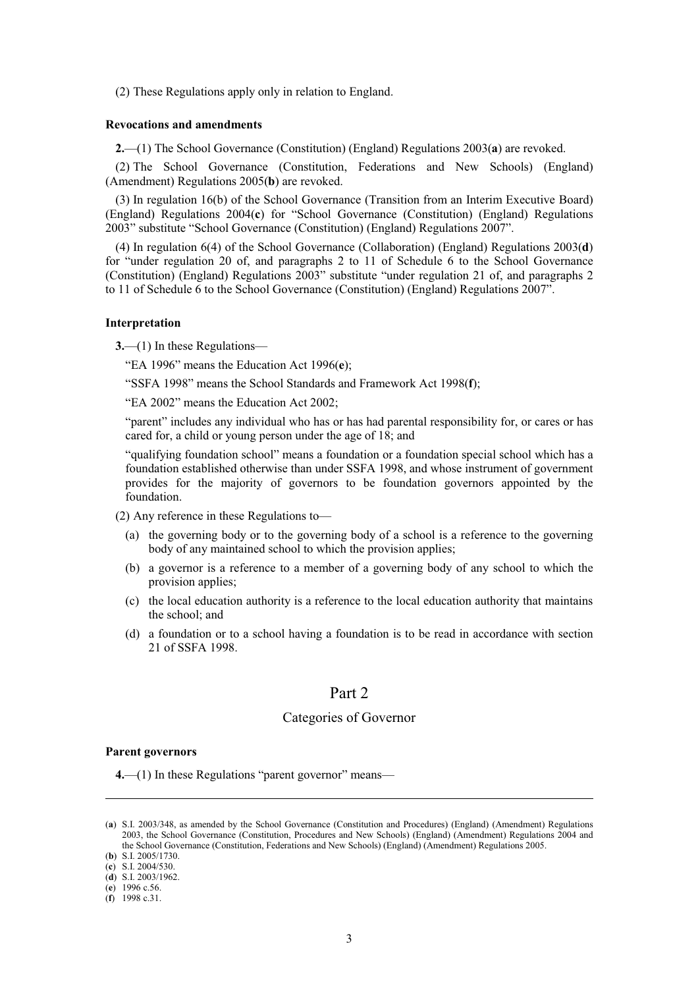(2) These Regulations apply only in relation to England.

## **Revocations and amendments**

**2.**—(1) The School Governance (Constitution) (England) Regulations 2003(**a**) are revoked.

(2) The School Governance (Constitution, Federations and New Schools) (England) (Amendment) Regulations 2005(**b**) are revoked.

(3) In regulation 16(b) of the School Governance (Transition from an Interim Executive Board) (England) Regulations 2004(**c**) for "School Governance (Constitution) (England) Regulations 2003" substitute "School Governance (Constitution) (England) Regulations 2007".

(4) In regulation 6(4) of the School Governance (Collaboration) (England) Regulations 2003(**d**) for "under regulation 20 of, and paragraphs 2 to 11 of Schedule 6 to the School Governance (Constitution) (England) Regulations 2003" substitute "under regulation 21 of, and paragraphs 2 to 11 of Schedule 6 to the School Governance (Constitution) (England) Regulations 2007".

#### **Interpretation**

**3.**—(1) In these Regulations—

"EA 1996" means the Education Act 1996(**e**);

"SSFA 1998" means the School Standards and Framework Act 1998(**f**);

"EA 2002" means the Education Act 2002;

"parent" includes any individual who has or has had parental responsibility for, or cares or has cared for, a child or young person under the age of 18; and

"qualifying foundation school" means a foundation or a foundation special school which has a foundation established otherwise than under SSFA 1998, and whose instrument of government provides for the majority of governors to be foundation governors appointed by the foundation.

(2) Any reference in these Regulations to—

- (a) the governing body or to the governing body of a school is a reference to the governing body of any maintained school to which the provision applies;
- (b) a governor is a reference to a member of a governing body of any school to which the provision applies;
- (c) the local education authority is a reference to the local education authority that maintains the school; and
- (d) a foundation or to a school having a foundation is to be read in accordance with section 21 of SSFA 1998.

# Part 2

# Categories of Governor

### **Parent governors**

**4.**—(1) In these Regulations "parent governor" means—

<sup>(</sup>**a**) S.I. 2003/348, as amended by the School Governance (Constitution and Procedures) (England) (Amendment) Regulations 2003, the School Governance (Constitution, Procedures and New Schools) (England) (Amendment) Regulations 2004 and the School Governance (Constitution, Federations and New Schools) (England) (Amendment) Regulations 2005.

<sup>(</sup>**b**) S.I. 2005/1730.

<sup>(</sup>**c**) S.I. 2004/530.

<sup>(</sup>**d**) S.I. 2003/1962.

<sup>(</sup>**e**) 1996 c.56.

<sup>(</sup>**f**) 1998 c.31.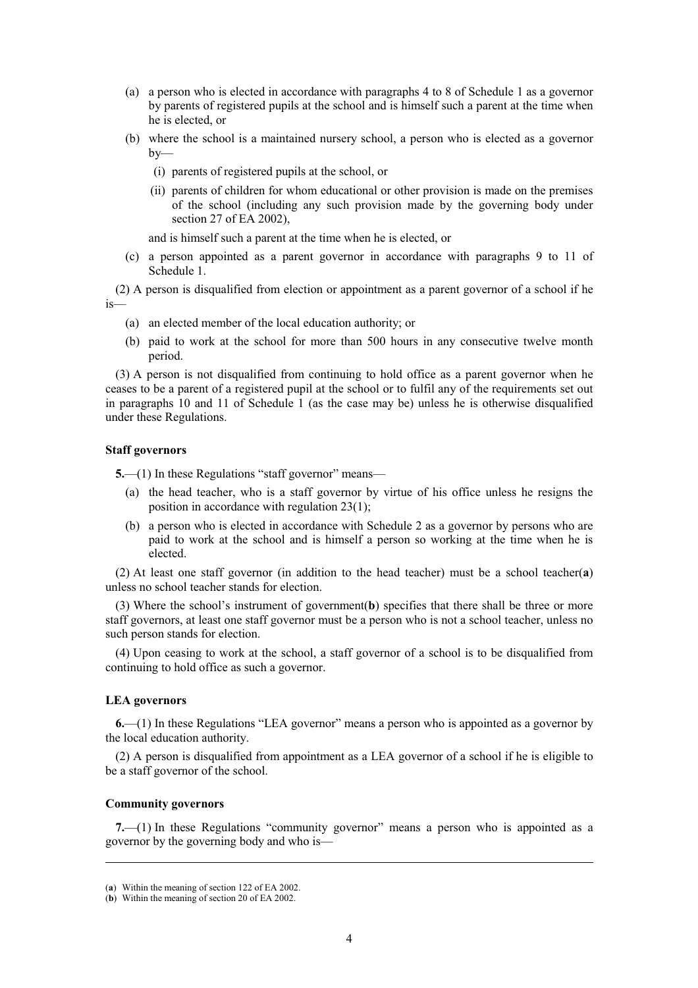- (a) a person who is elected in accordance with paragraphs 4 to 8 of Schedule 1 as a governor by parents of registered pupils at the school and is himself such a parent at the time when he is elected, or
- (b) where the school is a maintained nursery school, a person who is elected as a governor  $bv$ —
	- (i) parents of registered pupils at the school, or
	- (ii) parents of children for whom educational or other provision is made on the premises of the school (including any such provision made by the governing body under section 27 of EA 2002),

and is himself such a parent at the time when he is elected, or

(c) a person appointed as a parent governor in accordance with paragraphs 9 to 11 of Schedule 1.

(2) A person is disqualified from election or appointment as a parent governor of a school if he is—

- (a) an elected member of the local education authority; or
- (b) paid to work at the school for more than 500 hours in any consecutive twelve month period.

(3) A person is not disqualified from continuing to hold office as a parent governor when he ceases to be a parent of a registered pupil at the school or to fulfil any of the requirements set out in paragraphs 10 and 11 of Schedule 1 (as the case may be) unless he is otherwise disqualified under these Regulations.

## **Staff governors**

**5.**—(1) In these Regulations "staff governor" means—

- (a) the head teacher, who is a staff governor by virtue of his office unless he resigns the position in accordance with regulation 23(1);
- (b) a person who is elected in accordance with Schedule 2 as a governor by persons who are paid to work at the school and is himself a person so working at the time when he is elected.

(2) At least one staff governor (in addition to the head teacher) must be a school teacher(**a**) unless no school teacher stands for election.

(3) Where the school's instrument of government(**b**) specifies that there shall be three or more staff governors, at least one staff governor must be a person who is not a school teacher, unless no such person stands for election.

(4) Upon ceasing to work at the school, a staff governor of a school is to be disqualified from continuing to hold office as such a governor.

## **LEA governors**

**6.**—(1) In these Regulations "LEA governor" means a person who is appointed as a governor by the local education authority.

(2) A person is disqualified from appointment as a LEA governor of a school if he is eligible to be a staff governor of the school.

# **Community governors**

**7.**—(1) In these Regulations "community governor" means a person who is appointed as a governor by the governing body and who is—

<sup>(</sup>**a**) Within the meaning of section 122 of EA 2002.

<sup>(</sup>**b**) Within the meaning of section 20 of EA 2002.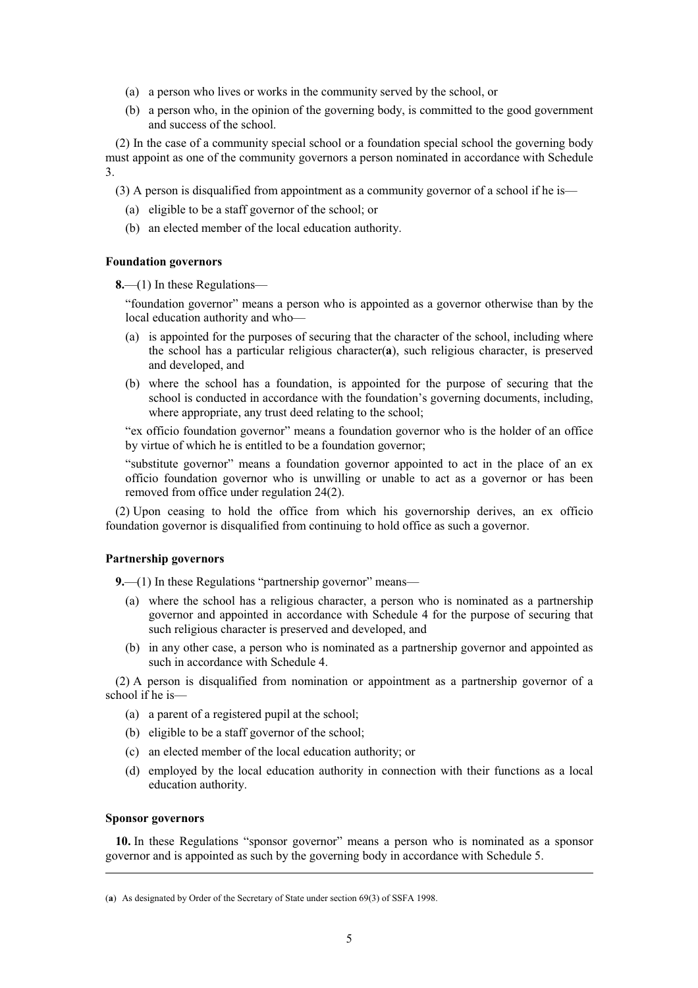- (a) a person who lives or works in the community served by the school, or
- (b) a person who, in the opinion of the governing body, is committed to the good government and success of the school.

(2) In the case of a community special school or a foundation special school the governing body must appoint as one of the community governors a person nominated in accordance with Schedule 3.

(3) A person is disqualified from appointment as a community governor of a school if he is—

- (a) eligible to be a staff governor of the school; or
- (b) an elected member of the local education authority.

## **Foundation governors**

**8.**—(1) In these Regulations—

"foundation governor" means a person who is appointed as a governor otherwise than by the local education authority and who—

- (a) is appointed for the purposes of securing that the character of the school, including where the school has a particular religious character(**a**), such religious character, is preserved and developed, and
- (b) where the school has a foundation, is appointed for the purpose of securing that the school is conducted in accordance with the foundation's governing documents, including, where appropriate, any trust deed relating to the school:

"ex officio foundation governor" means a foundation governor who is the holder of an office by virtue of which he is entitled to be a foundation governor;

"substitute governor" means a foundation governor appointed to act in the place of an ex officio foundation governor who is unwilling or unable to act as a governor or has been removed from office under regulation 24(2).

(2) Upon ceasing to hold the office from which his governorship derives, an ex officio foundation governor is disqualified from continuing to hold office as such a governor.

## **Partnership governors**

**9.**—(1) In these Regulations "partnership governor" means—

- (a) where the school has a religious character, a person who is nominated as a partnership governor and appointed in accordance with Schedule 4 for the purpose of securing that such religious character is preserved and developed, and
- (b) in any other case, a person who is nominated as a partnership governor and appointed as such in accordance with Schedule 4.

(2) A person is disqualified from nomination or appointment as a partnership governor of a school if he is—

- (a) a parent of a registered pupil at the school;
- (b) eligible to be a staff governor of the school;
- (c) an elected member of the local education authority; or
- (d) employed by the local education authority in connection with their functions as a local education authority.

# **Sponsor governors**

**10.** In these Regulations "sponsor governor" means a person who is nominated as a sponsor governor and is appointed as such by the governing body in accordance with Schedule 5.

<sup>(</sup>**a**) As designated by Order of the Secretary of State under section 69(3) of SSFA 1998.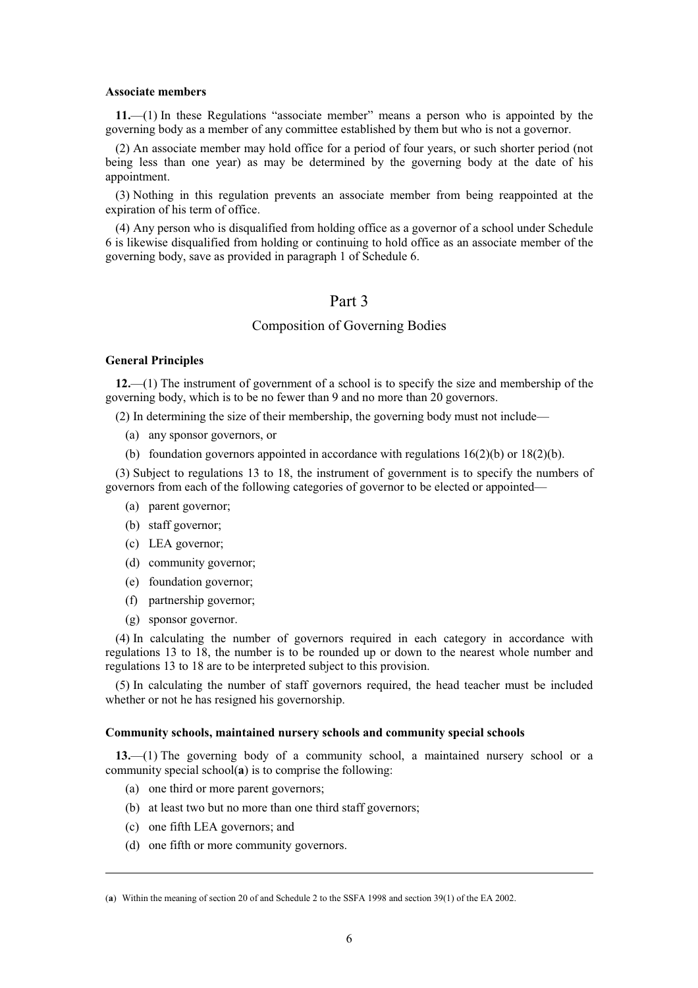#### **Associate members**

**11.**—(1) In these Regulations "associate member" means a person who is appointed by the governing body as a member of any committee established by them but who is not a governor.

(2) An associate member may hold office for a period of four years, or such shorter period (not being less than one year) as may be determined by the governing body at the date of his appointment.

(3) Nothing in this regulation prevents an associate member from being reappointed at the expiration of his term of office.

(4) Any person who is disqualified from holding office as a governor of a school under Schedule 6 is likewise disqualified from holding or continuing to hold office as an associate member of the governing body, save as provided in paragraph 1 of Schedule 6.

# Part 3

# Composition of Governing Bodies

### **General Principles**

**12.**—(1) The instrument of government of a school is to specify the size and membership of the governing body, which is to be no fewer than 9 and no more than 20 governors.

(2) In determining the size of their membership, the governing body must not include—

- (a) any sponsor governors, or
- (b) foundation governors appointed in accordance with regulations 16(2)(b) or 18(2)(b).

(3) Subject to regulations 13 to 18, the instrument of government is to specify the numbers of governors from each of the following categories of governor to be elected or appointed—

- (a) parent governor;
- (b) staff governor;
- (c) LEA governor;
- (d) community governor;
- (e) foundation governor;
- (f) partnership governor;
- (g) sponsor governor.

(4) In calculating the number of governors required in each category in accordance with regulations 13 to 18, the number is to be rounded up or down to the nearest whole number and regulations 13 to 18 are to be interpreted subject to this provision.

(5) In calculating the number of staff governors required, the head teacher must be included whether or not he has resigned his governorship.

#### **Community schools, maintained nursery schools and community special schools**

**13.**—(1) The governing body of a community school, a maintained nursery school or a community special school(**a**) is to comprise the following:

- (a) one third or more parent governors;
- (b) at least two but no more than one third staff governors;
- (c) one fifth LEA governors; and
- (d) one fifth or more community governors.

<sup>(</sup>**a**) Within the meaning of section 20 of and Schedule 2 to the SSFA 1998 and section 39(1) of the EA 2002.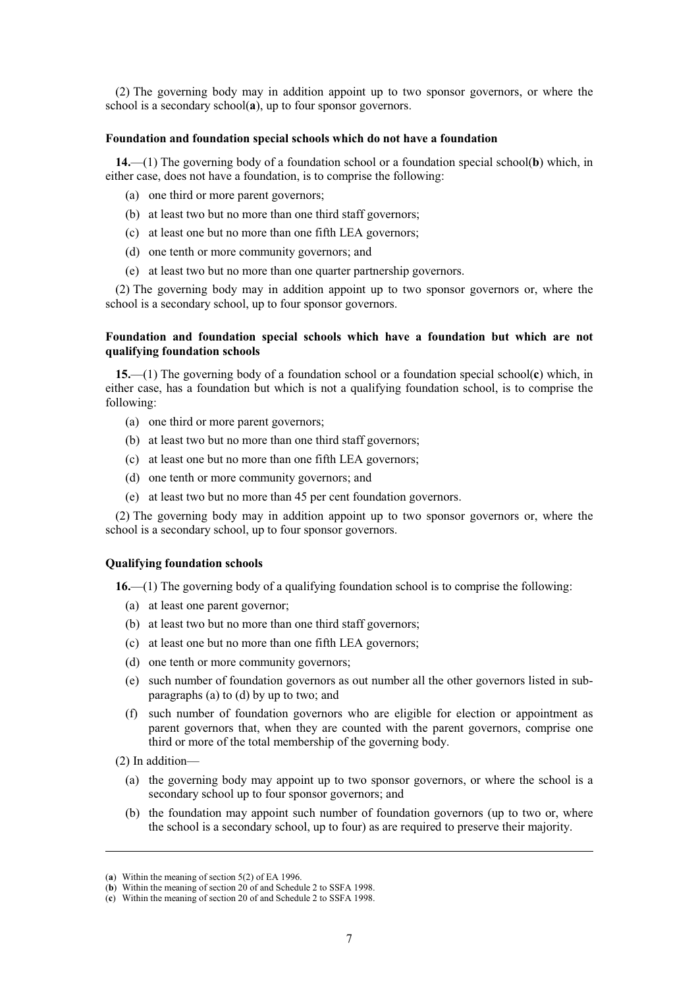(2) The governing body may in addition appoint up to two sponsor governors, or where the school is a secondary school(**a**), up to four sponsor governors.

### **Foundation and foundation special schools which do not have a foundation**

**14.**—(1) The governing body of a foundation school or a foundation special school(**b**) which, in either case, does not have a foundation, is to comprise the following:

- (a) one third or more parent governors;
- (b) at least two but no more than one third staff governors;
- (c) at least one but no more than one fifth LEA governors;
- (d) one tenth or more community governors; and
- (e) at least two but no more than one quarter partnership governors.

(2) The governing body may in addition appoint up to two sponsor governors or, where the school is a secondary school, up to four sponsor governors.

# **Foundation and foundation special schools which have a foundation but which are not qualifying foundation schools**

**15.**—(1) The governing body of a foundation school or a foundation special school(**c**) which, in either case, has a foundation but which is not a qualifying foundation school, is to comprise the following:

- (a) one third or more parent governors;
- (b) at least two but no more than one third staff governors;
- (c) at least one but no more than one fifth LEA governors;
- (d) one tenth or more community governors; and
- (e) at least two but no more than 45 per cent foundation governors.

(2) The governing body may in addition appoint up to two sponsor governors or, where the school is a secondary school, up to four sponsor governors.

## **Qualifying foundation schools**

**16.**—(1) The governing body of a qualifying foundation school is to comprise the following:

- (a) at least one parent governor;
- (b) at least two but no more than one third staff governors;
- (c) at least one but no more than one fifth LEA governors;
- (d) one tenth or more community governors;
- (e) such number of foundation governors as out number all the other governors listed in subparagraphs (a) to (d) by up to two; and
- (f) such number of foundation governors who are eligible for election or appointment as parent governors that, when they are counted with the parent governors, comprise one third or more of the total membership of the governing body.
- (2) In addition—
	- (a) the governing body may appoint up to two sponsor governors, or where the school is a secondary school up to four sponsor governors; and
	- (b) the foundation may appoint such number of foundation governors (up to two or, where the school is a secondary school, up to four) as are required to preserve their majority.

<sup>(</sup>**a**) Within the meaning of section 5(2) of EA 1996.

<sup>(</sup>**b**) Within the meaning of section 20 of and Schedule 2 to SSFA 1998.

<sup>(</sup>**c**) Within the meaning of section 20 of and Schedule 2 to SSFA 1998.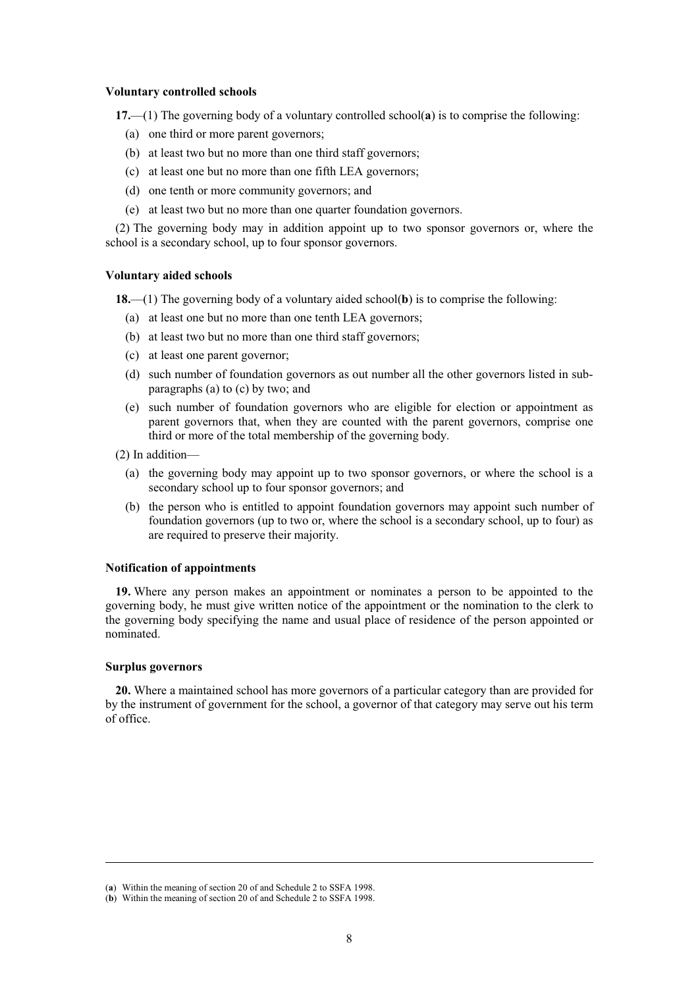#### **Voluntary controlled schools**

**17.**—(1) The governing body of a voluntary controlled school(**a**) is to comprise the following:

- (a) one third or more parent governors;
- (b) at least two but no more than one third staff governors;
- (c) at least one but no more than one fifth LEA governors;
- (d) one tenth or more community governors; and
- (e) at least two but no more than one quarter foundation governors.

(2) The governing body may in addition appoint up to two sponsor governors or, where the school is a secondary school, up to four sponsor governors.

### **Voluntary aided schools**

**18.**—(1) The governing body of a voluntary aided school(**b**) is to comprise the following:

- (a) at least one but no more than one tenth LEA governors;
- (b) at least two but no more than one third staff governors;
- (c) at least one parent governor;
- (d) such number of foundation governors as out number all the other governors listed in subparagraphs (a) to (c) by two; and
- (e) such number of foundation governors who are eligible for election or appointment as parent governors that, when they are counted with the parent governors, comprise one third or more of the total membership of the governing body.
- (2) In addition—
	- (a) the governing body may appoint up to two sponsor governors, or where the school is a secondary school up to four sponsor governors; and
	- (b) the person who is entitled to appoint foundation governors may appoint such number of foundation governors (up to two or, where the school is a secondary school, up to four) as are required to preserve their majority.

## **Notification of appointments**

**19.** Where any person makes an appointment or nominates a person to be appointed to the governing body, he must give written notice of the appointment or the nomination to the clerk to the governing body specifying the name and usual place of residence of the person appointed or nominated.

# **Surplus governors**

**20.** Where a maintained school has more governors of a particular category than are provided for by the instrument of government for the school, a governor of that category may serve out his term of office.

<sup>(</sup>**a**) Within the meaning of section 20 of and Schedule 2 to SSFA 1998.

<sup>(</sup>**b**) Within the meaning of section 20 of and Schedule 2 to SSFA 1998.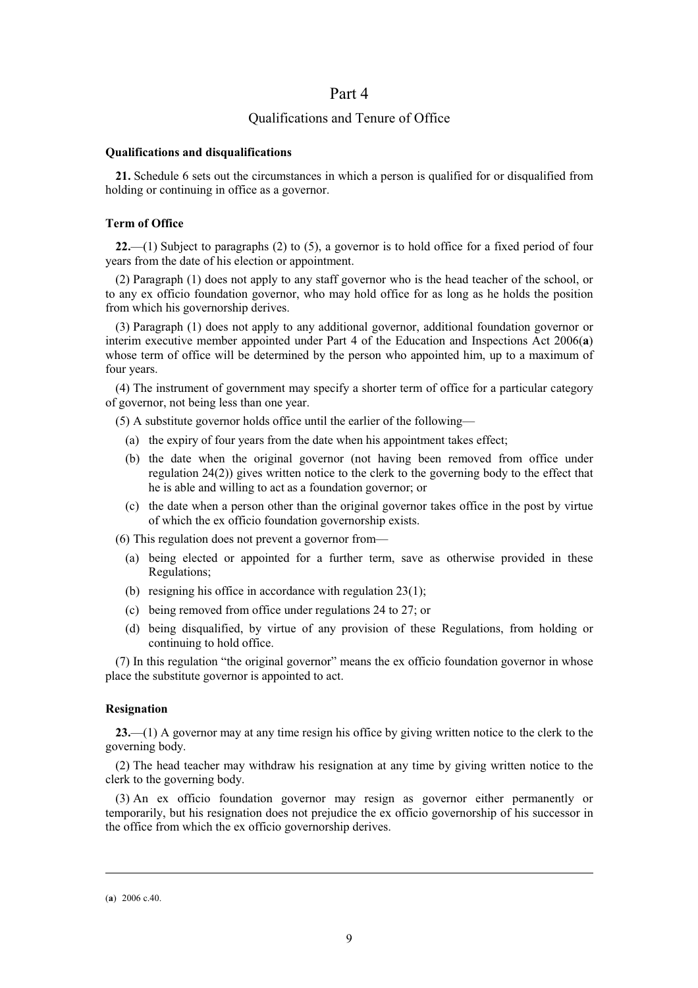# Part 4

# Qualifications and Tenure of Office

## **Qualifications and disqualifications**

**21.** Schedule 6 sets out the circumstances in which a person is qualified for or disqualified from holding or continuing in office as a governor.

## **Term of Office**

**22.**—(1) Subject to paragraphs (2) to (5), a governor is to hold office for a fixed period of four years from the date of his election or appointment.

(2) Paragraph (1) does not apply to any staff governor who is the head teacher of the school, or to any ex officio foundation governor, who may hold office for as long as he holds the position from which his governorship derives.

(3) Paragraph (1) does not apply to any additional governor, additional foundation governor or interim executive member appointed under Part 4 of the Education and Inspections Act 2006(**a**) whose term of office will be determined by the person who appointed him, up to a maximum of four years.

(4) The instrument of government may specify a shorter term of office for a particular category of governor, not being less than one year.

(5) A substitute governor holds office until the earlier of the following—

- (a) the expiry of four years from the date when his appointment takes effect;
- (b) the date when the original governor (not having been removed from office under regulation 24(2)) gives written notice to the clerk to the governing body to the effect that he is able and willing to act as a foundation governor; or
- (c) the date when a person other than the original governor takes office in the post by virtue of which the ex officio foundation governorship exists.

(6) This regulation does not prevent a governor from—

- (a) being elected or appointed for a further term, save as otherwise provided in these Regulations;
- (b) resigning his office in accordance with regulation 23(1);
- (c) being removed from office under regulations 24 to 27; or
- (d) being disqualified, by virtue of any provision of these Regulations, from holding or continuing to hold office.

(7) In this regulation "the original governor" means the ex officio foundation governor in whose place the substitute governor is appointed to act.

#### **Resignation**

**23.**—(1) A governor may at any time resign his office by giving written notice to the clerk to the governing body.

(2) The head teacher may withdraw his resignation at any time by giving written notice to the clerk to the governing body.

(3) An ex officio foundation governor may resign as governor either permanently or temporarily, but his resignation does not prejudice the ex officio governorship of his successor in the office from which the ex officio governorship derives.

<sup>(</sup>**a**) 2006 c.40.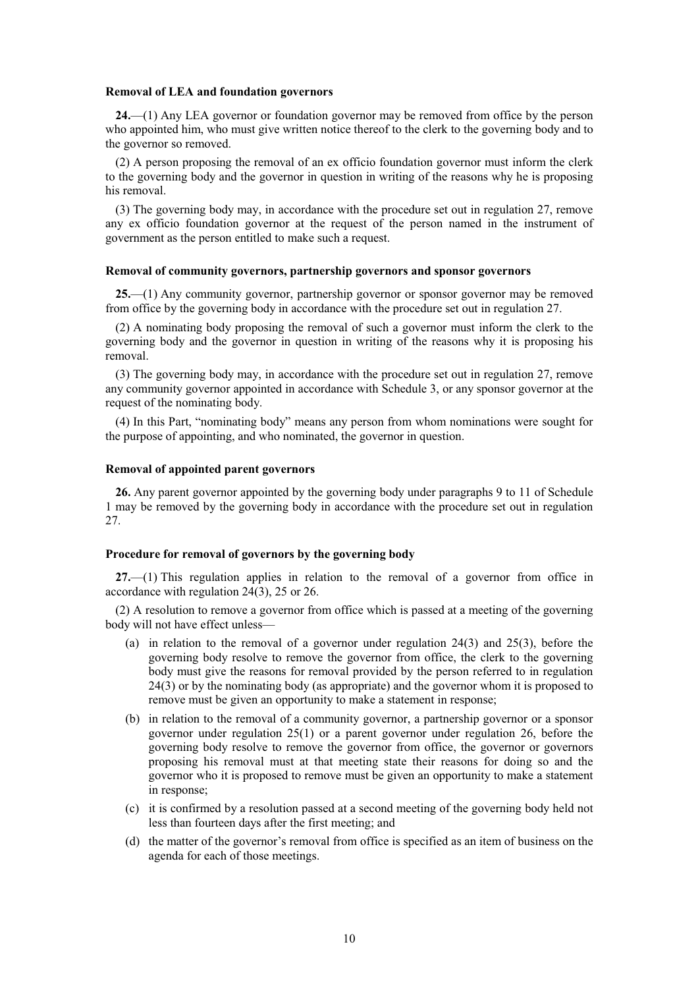#### **Removal of LEA and foundation governors**

**24.**—(1) Any LEA governor or foundation governor may be removed from office by the person who appointed him, who must give written notice thereof to the clerk to the governing body and to the governor so removed.

(2) A person proposing the removal of an ex officio foundation governor must inform the clerk to the governing body and the governor in question in writing of the reasons why he is proposing his removal.

(3) The governing body may, in accordance with the procedure set out in regulation 27, remove any ex officio foundation governor at the request of the person named in the instrument of government as the person entitled to make such a request.

## **Removal of community governors, partnership governors and sponsor governors**

**25.**—(1) Any community governor, partnership governor or sponsor governor may be removed from office by the governing body in accordance with the procedure set out in regulation 27.

(2) A nominating body proposing the removal of such a governor must inform the clerk to the governing body and the governor in question in writing of the reasons why it is proposing his removal.

(3) The governing body may, in accordance with the procedure set out in regulation 27, remove any community governor appointed in accordance with Schedule 3, or any sponsor governor at the request of the nominating body.

(4) In this Part, "nominating body" means any person from whom nominations were sought for the purpose of appointing, and who nominated, the governor in question.

## **Removal of appointed parent governors**

**26.** Any parent governor appointed by the governing body under paragraphs 9 to 11 of Schedule 1 may be removed by the governing body in accordance with the procedure set out in regulation 27.

## **Procedure for removal of governors by the governing body**

**27.**—(1) This regulation applies in relation to the removal of a governor from office in accordance with regulation 24(3), 25 or 26.

(2) A resolution to remove a governor from office which is passed at a meeting of the governing body will not have effect unless—

- (a) in relation to the removal of a governor under regulation 24(3) and 25(3), before the governing body resolve to remove the governor from office, the clerk to the governing body must give the reasons for removal provided by the person referred to in regulation 24(3) or by the nominating body (as appropriate) and the governor whom it is proposed to remove must be given an opportunity to make a statement in response;
- (b) in relation to the removal of a community governor, a partnership governor or a sponsor governor under regulation 25(1) or a parent governor under regulation 26, before the governing body resolve to remove the governor from office, the governor or governors proposing his removal must at that meeting state their reasons for doing so and the governor who it is proposed to remove must be given an opportunity to make a statement in response;
- (c) it is confirmed by a resolution passed at a second meeting of the governing body held not less than fourteen days after the first meeting; and
- (d) the matter of the governor's removal from office is specified as an item of business on the agenda for each of those meetings.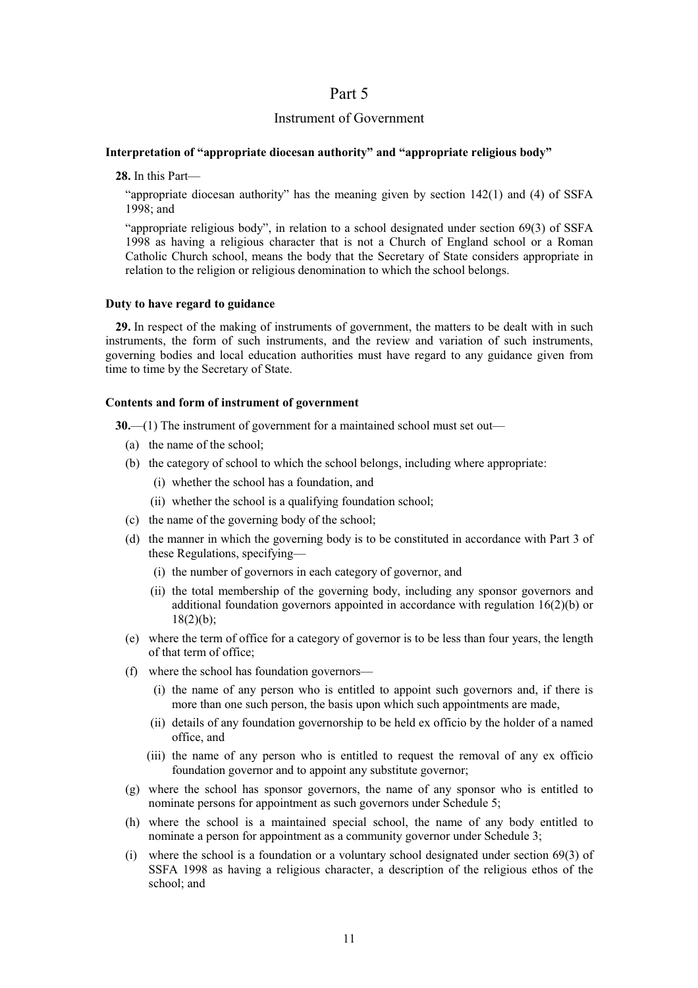# Part 5

# Instrument of Government

## **Interpretation of "appropriate diocesan authority" and "appropriate religious body"**

**28.** In this Part—

"appropriate diocesan authority" has the meaning given by section  $142(1)$  and (4) of SSFA 1998; and

"appropriate religious body", in relation to a school designated under section 69(3) of SSFA 1998 as having a religious character that is not a Church of England school or a Roman Catholic Church school, means the body that the Secretary of State considers appropriate in relation to the religion or religious denomination to which the school belongs.

## **Duty to have regard to guidance**

**29.** In respect of the making of instruments of government, the matters to be dealt with in such instruments, the form of such instruments, and the review and variation of such instruments, governing bodies and local education authorities must have regard to any guidance given from time to time by the Secretary of State.

## **Contents and form of instrument of government**

**30.**—(1) The instrument of government for a maintained school must set out—

- (a) the name of the school;
- (b) the category of school to which the school belongs, including where appropriate:
	- (i) whether the school has a foundation, and
	- (ii) whether the school is a qualifying foundation school;
- (c) the name of the governing body of the school;
- (d) the manner in which the governing body is to be constituted in accordance with Part 3 of these Regulations, specifying—
	- (i) the number of governors in each category of governor, and
	- (ii) the total membership of the governing body, including any sponsor governors and additional foundation governors appointed in accordance with regulation 16(2)(b) or  $18(2)(b)$ ;
- (e) where the term of office for a category of governor is to be less than four years, the length of that term of office;
- (f) where the school has foundation governors—
	- (i) the name of any person who is entitled to appoint such governors and, if there is more than one such person, the basis upon which such appointments are made,
	- (ii) details of any foundation governorship to be held ex officio by the holder of a named office, and
	- (iii) the name of any person who is entitled to request the removal of any ex officio foundation governor and to appoint any substitute governor;
- (g) where the school has sponsor governors, the name of any sponsor who is entitled to nominate persons for appointment as such governors under Schedule 5;
- (h) where the school is a maintained special school, the name of any body entitled to nominate a person for appointment as a community governor under Schedule 3;
- (i) where the school is a foundation or a voluntary school designated under section 69(3) of SSFA 1998 as having a religious character, a description of the religious ethos of the school; and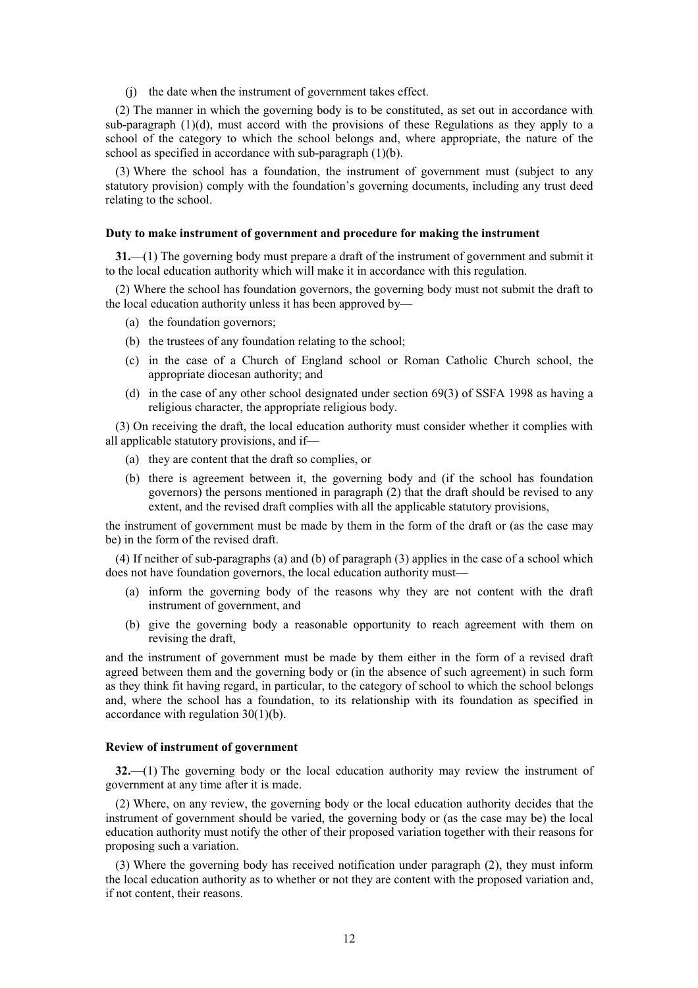(j) the date when the instrument of government takes effect.

(2) The manner in which the governing body is to be constituted, as set out in accordance with sub-paragraph (1)(d), must accord with the provisions of these Regulations as they apply to a school of the category to which the school belongs and, where appropriate, the nature of the school as specified in accordance with sub-paragraph (1)(b).

(3) Where the school has a foundation, the instrument of government must (subject to any statutory provision) comply with the foundation's governing documents, including any trust deed relating to the school.

## **Duty to make instrument of government and procedure for making the instrument**

**31.**—(1) The governing body must prepare a draft of the instrument of government and submit it to the local education authority which will make it in accordance with this regulation.

(2) Where the school has foundation governors, the governing body must not submit the draft to the local education authority unless it has been approved by—

- (a) the foundation governors;
- (b) the trustees of any foundation relating to the school;
- (c) in the case of a Church of England school or Roman Catholic Church school, the appropriate diocesan authority; and
- (d) in the case of any other school designated under section 69(3) of SSFA 1998 as having a religious character, the appropriate religious body.

(3) On receiving the draft, the local education authority must consider whether it complies with all applicable statutory provisions, and if—

- (a) they are content that the draft so complies, or
- (b) there is agreement between it, the governing body and (if the school has foundation governors) the persons mentioned in paragraph (2) that the draft should be revised to any extent, and the revised draft complies with all the applicable statutory provisions,

the instrument of government must be made by them in the form of the draft or (as the case may be) in the form of the revised draft.

(4) If neither of sub-paragraphs (a) and (b) of paragraph (3) applies in the case of a school which does not have foundation governors, the local education authority must—

- (a) inform the governing body of the reasons why they are not content with the draft instrument of government, and
- (b) give the governing body a reasonable opportunity to reach agreement with them on revising the draft,

and the instrument of government must be made by them either in the form of a revised draft agreed between them and the governing body or (in the absence of such agreement) in such form as they think fit having regard, in particular, to the category of school to which the school belongs and, where the school has a foundation, to its relationship with its foundation as specified in accordance with regulation 30(1)(b).

#### **Review of instrument of government**

**32.**—(1) The governing body or the local education authority may review the instrument of government at any time after it is made.

(2) Where, on any review, the governing body or the local education authority decides that the instrument of government should be varied, the governing body or (as the case may be) the local education authority must notify the other of their proposed variation together with their reasons for proposing such a variation.

(3) Where the governing body has received notification under paragraph (2), they must inform the local education authority as to whether or not they are content with the proposed variation and, if not content, their reasons.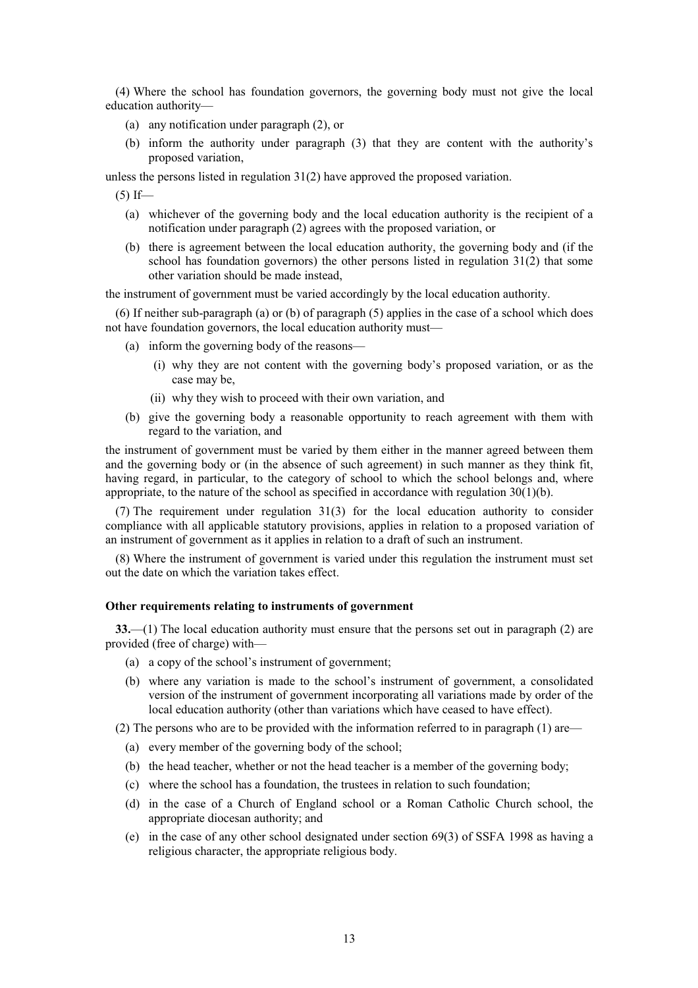(4) Where the school has foundation governors, the governing body must not give the local education authority—

- (a) any notification under paragraph (2), or
- (b) inform the authority under paragraph (3) that they are content with the authority's proposed variation,

unless the persons listed in regulation 31(2) have approved the proposed variation.

 $(5)$  If—

- (a) whichever of the governing body and the local education authority is the recipient of a notification under paragraph (2) agrees with the proposed variation, or
- (b) there is agreement between the local education authority, the governing body and (if the school has foundation governors) the other persons listed in regulation 31(2) that some other variation should be made instead,

the instrument of government must be varied accordingly by the local education authority.

(6) If neither sub-paragraph (a) or (b) of paragraph (5) applies in the case of a school which does not have foundation governors, the local education authority must—

- (a) inform the governing body of the reasons—
	- (i) why they are not content with the governing body's proposed variation, or as the case may be,
	- (ii) why they wish to proceed with their own variation, and
- (b) give the governing body a reasonable opportunity to reach agreement with them with regard to the variation, and

the instrument of government must be varied by them either in the manner agreed between them and the governing body or (in the absence of such agreement) in such manner as they think fit, having regard, in particular, to the category of school to which the school belongs and, where appropriate, to the nature of the school as specified in accordance with regulation 30(1)(b).

(7) The requirement under regulation 31(3) for the local education authority to consider compliance with all applicable statutory provisions, applies in relation to a proposed variation of an instrument of government as it applies in relation to a draft of such an instrument.

(8) Where the instrument of government is varied under this regulation the instrument must set out the date on which the variation takes effect.

#### **Other requirements relating to instruments of government**

**33.**—(1) The local education authority must ensure that the persons set out in paragraph (2) are provided (free of charge) with—

- (a) a copy of the school's instrument of government;
- (b) where any variation is made to the school's instrument of government, a consolidated version of the instrument of government incorporating all variations made by order of the local education authority (other than variations which have ceased to have effect).

(2) The persons who are to be provided with the information referred to in paragraph (1) are—

- (a) every member of the governing body of the school;
- (b) the head teacher, whether or not the head teacher is a member of the governing body;
- (c) where the school has a foundation, the trustees in relation to such foundation;
- (d) in the case of a Church of England school or a Roman Catholic Church school, the appropriate diocesan authority; and
- (e) in the case of any other school designated under section 69(3) of SSFA 1998 as having a religious character, the appropriate religious body.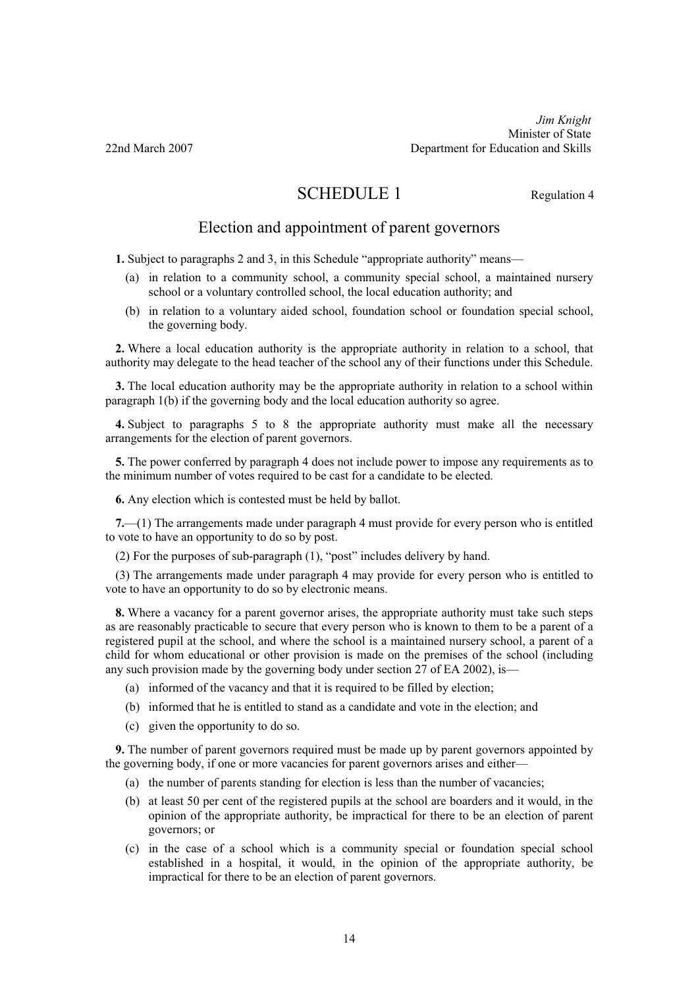*Jim Knight*  Minister of State 22nd March 2007 Department for Education and Skills

# SCHEDULE 1 Regulation 4

# Election and appointment of parent governors

**1.** Subject to paragraphs 2 and 3, in this Schedule "appropriate authority" means—

- (a) in relation to a community school, a community special school, a maintained nursery school or a voluntary controlled school, the local education authority; and
- (b) in relation to a voluntary aided school, foundation school or foundation special school, the governing body.

**2.** Where a local education authority is the appropriate authority in relation to a school, that authority may delegate to the head teacher of the school any of their functions under this Schedule.

**3.** The local education authority may be the appropriate authority in relation to a school within paragraph 1(b) if the governing body and the local education authority so agree.

**4.** Subject to paragraphs 5 to 8 the appropriate authority must make all the necessary arrangements for the election of parent governors.

**5.** The power conferred by paragraph 4 does not include power to impose any requirements as to the minimum number of votes required to be cast for a candidate to be elected.

**6.** Any election which is contested must be held by ballot.

**7.**—(1) The arrangements made under paragraph 4 must provide for every person who is entitled to vote to have an opportunity to do so by post.

(2) For the purposes of sub-paragraph (1), "post" includes delivery by hand.

(3) The arrangements made under paragraph 4 may provide for every person who is entitled to vote to have an opportunity to do so by electronic means.

**8.** Where a vacancy for a parent governor arises, the appropriate authority must take such steps as are reasonably practicable to secure that every person who is known to them to be a parent of a registered pupil at the school, and where the school is a maintained nursery school, a parent of a child for whom educational or other provision is made on the premises of the school (including any such provision made by the governing body under section 27 of EA 2002), is—

- (a) informed of the vacancy and that it is required to be filled by election;
- (b) informed that he is entitled to stand as a candidate and vote in the election; and
- (c) given the opportunity to do so.

**9.** The number of parent governors required must be made up by parent governors appointed by the governing body, if one or more vacancies for parent governors arises and either—

- (a) the number of parents standing for election is less than the number of vacancies;
- (b) at least 50 per cent of the registered pupils at the school are boarders and it would, in the opinion of the appropriate authority, be impractical for there to be an election of parent governors; or
- (c) in the case of a school which is a community special or foundation special school established in a hospital, it would, in the opinion of the appropriate authority, be impractical for there to be an election of parent governors.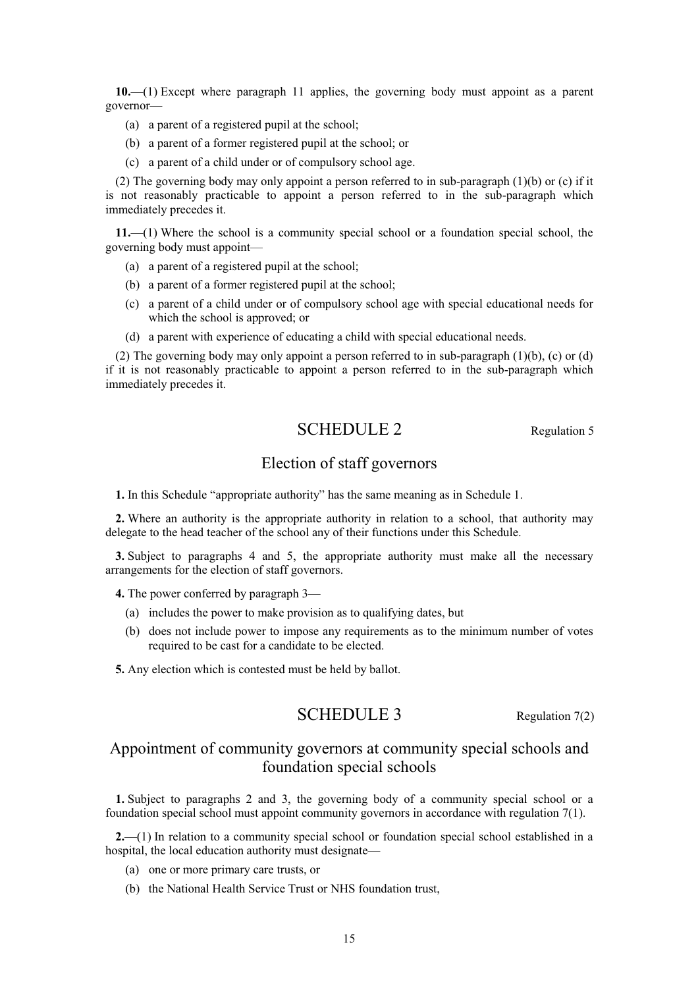**10.**—(1) Except where paragraph 11 applies, the governing body must appoint as a parent governor—

- (a) a parent of a registered pupil at the school;
- (b) a parent of a former registered pupil at the school; or
- (c) a parent of a child under or of compulsory school age.

(2) The governing body may only appoint a person referred to in sub-paragraph (1)(b) or (c) if it is not reasonably practicable to appoint a person referred to in the sub-paragraph which immediately precedes it.

**11.**—(1) Where the school is a community special school or a foundation special school, the governing body must appoint—

- (a) a parent of a registered pupil at the school;
- (b) a parent of a former registered pupil at the school;
- (c) a parent of a child under or of compulsory school age with special educational needs for which the school is approved; or
- (d) a parent with experience of educating a child with special educational needs.

(2) The governing body may only appoint a person referred to in sub-paragraph (1)(b), (c) or (d) if it is not reasonably practicable to appoint a person referred to in the sub-paragraph which immediately precedes it.

# SCHEDULE 2 Regulation 5

# Election of staff governors

**1.** In this Schedule "appropriate authority" has the same meaning as in Schedule 1.

**2.** Where an authority is the appropriate authority in relation to a school, that authority may delegate to the head teacher of the school any of their functions under this Schedule.

**3.** Subject to paragraphs 4 and 5, the appropriate authority must make all the necessary arrangements for the election of staff governors.

**4.** The power conferred by paragraph 3—

- (a) includes the power to make provision as to qualifying dates, but
- (b) does not include power to impose any requirements as to the minimum number of votes required to be cast for a candidate to be elected.

**5.** Any election which is contested must be held by ballot.

# SCHEDULE 3 Regulation 7(2)

# Appointment of community governors at community special schools and foundation special schools

**1.** Subject to paragraphs 2 and 3, the governing body of a community special school or a foundation special school must appoint community governors in accordance with regulation 7(1).

**2.**—(1) In relation to a community special school or foundation special school established in a hospital, the local education authority must designate—

- (a) one or more primary care trusts, or
- (b) the National Health Service Trust or NHS foundation trust,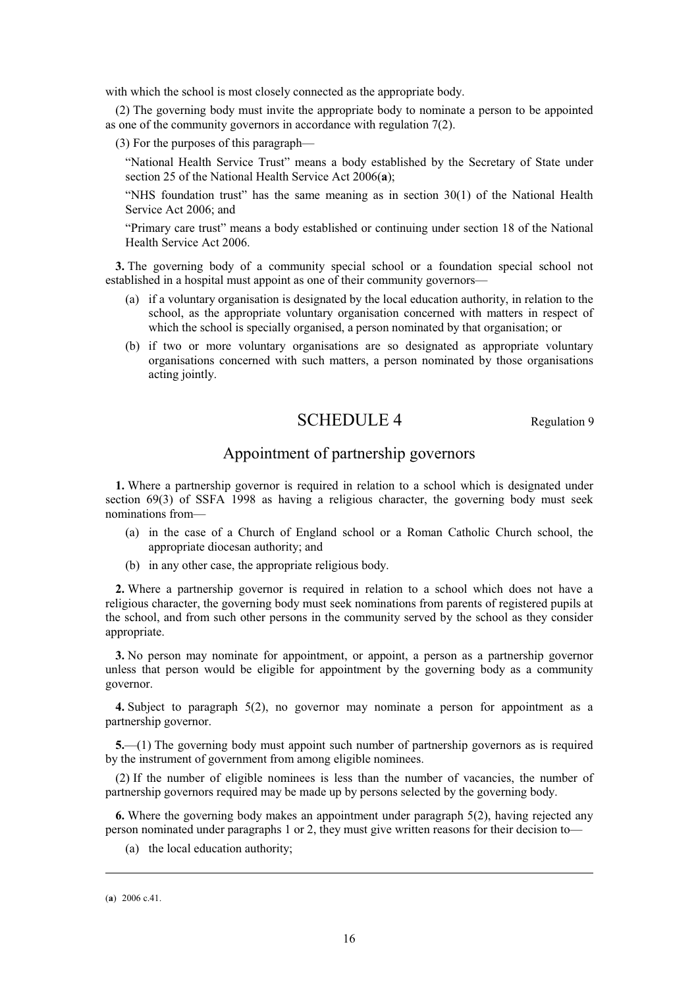with which the school is most closely connected as the appropriate body.

(2) The governing body must invite the appropriate body to nominate a person to be appointed as one of the community governors in accordance with regulation 7(2).

(3) For the purposes of this paragraph—

"National Health Service Trust" means a body established by the Secretary of State under section 25 of the National Health Service Act 2006(**a**);

"NHS foundation trust" has the same meaning as in section 30(1) of the National Health Service Act 2006; and

"Primary care trust" means a body established or continuing under section 18 of the National Health Service Act 2006.

**3.** The governing body of a community special school or a foundation special school not established in a hospital must appoint as one of their community governors—

- (a) if a voluntary organisation is designated by the local education authority, in relation to the school, as the appropriate voluntary organisation concerned with matters in respect of which the school is specially organised, a person nominated by that organisation; or
- (b) if two or more voluntary organisations are so designated as appropriate voluntary organisations concerned with such matters, a person nominated by those organisations acting jointly.

# SCHEDULE 4 Regulation 9

# Appointment of partnership governors

**1.** Where a partnership governor is required in relation to a school which is designated under section 69(3) of SSFA 1998 as having a religious character, the governing body must seek nominations from—

- (a) in the case of a Church of England school or a Roman Catholic Church school, the appropriate diocesan authority; and
- (b) in any other case, the appropriate religious body.

**2.** Where a partnership governor is required in relation to a school which does not have a religious character, the governing body must seek nominations from parents of registered pupils at the school, and from such other persons in the community served by the school as they consider appropriate.

**3.** No person may nominate for appointment, or appoint, a person as a partnership governor unless that person would be eligible for appointment by the governing body as a community governor.

**4.** Subject to paragraph 5(2), no governor may nominate a person for appointment as a partnership governor.

**5.**—(1) The governing body must appoint such number of partnership governors as is required by the instrument of government from among eligible nominees.

(2) If the number of eligible nominees is less than the number of vacancies, the number of partnership governors required may be made up by persons selected by the governing body.

**6.** Where the governing body makes an appointment under paragraph 5(2), having rejected any person nominated under paragraphs 1 or 2, they must give written reasons for their decision to—

(a) the local education authority;

<sup>(</sup>**a**) 2006 c.41.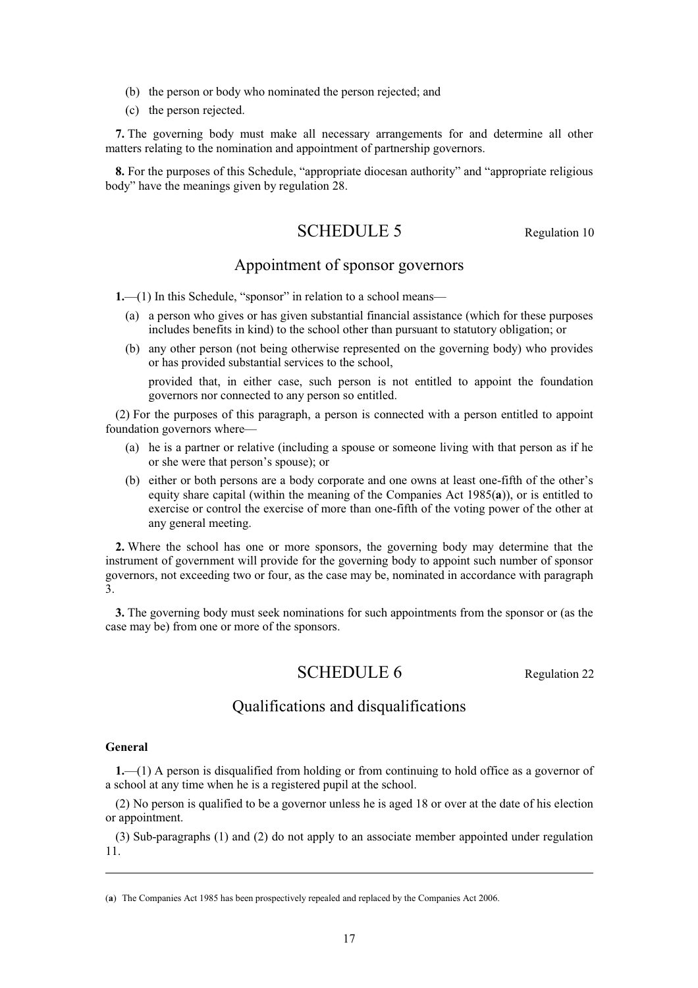- (b) the person or body who nominated the person rejected; and
- (c) the person rejected.

**7.** The governing body must make all necessary arrangements for and determine all other matters relating to the nomination and appointment of partnership governors.

**8.** For the purposes of this Schedule, "appropriate diocesan authority" and "appropriate religious body" have the meanings given by regulation 28.

# SCHEDULE 5 Regulation 10

# Appointment of sponsor governors

**1.**—(1) In this Schedule, "sponsor" in relation to a school means—

- (a) a person who gives or has given substantial financial assistance (which for these purposes includes benefits in kind) to the school other than pursuant to statutory obligation; or
- (b) any other person (not being otherwise represented on the governing body) who provides or has provided substantial services to the school,

provided that, in either case, such person is not entitled to appoint the foundation governors nor connected to any person so entitled.

(2) For the purposes of this paragraph, a person is connected with a person entitled to appoint foundation governors where—

- (a) he is a partner or relative (including a spouse or someone living with that person as if he or she were that person's spouse); or
- (b) either or both persons are a body corporate and one owns at least one-fifth of the other's equity share capital (within the meaning of the Companies Act 1985(**a**)), or is entitled to exercise or control the exercise of more than one-fifth of the voting power of the other at any general meeting.

**2.** Where the school has one or more sponsors, the governing body may determine that the instrument of government will provide for the governing body to appoint such number of sponsor governors, not exceeding two or four, as the case may be, nominated in accordance with paragraph 3.

**3.** The governing body must seek nominations for such appointments from the sponsor or (as the case may be) from one or more of the sponsors.

# SCHEDULE 6 Regulation 22

# Qualifications and disqualifications

## **General**

**1.**—(1) A person is disqualified from holding or from continuing to hold office as a governor of a school at any time when he is a registered pupil at the school.

(2) No person is qualified to be a governor unless he is aged 18 or over at the date of his election or appointment.

(3) Sub-paragraphs (1) and (2) do not apply to an associate member appointed under regulation 11.

<sup>(</sup>**a**) The Companies Act 1985 has been prospectively repealed and replaced by the Companies Act 2006.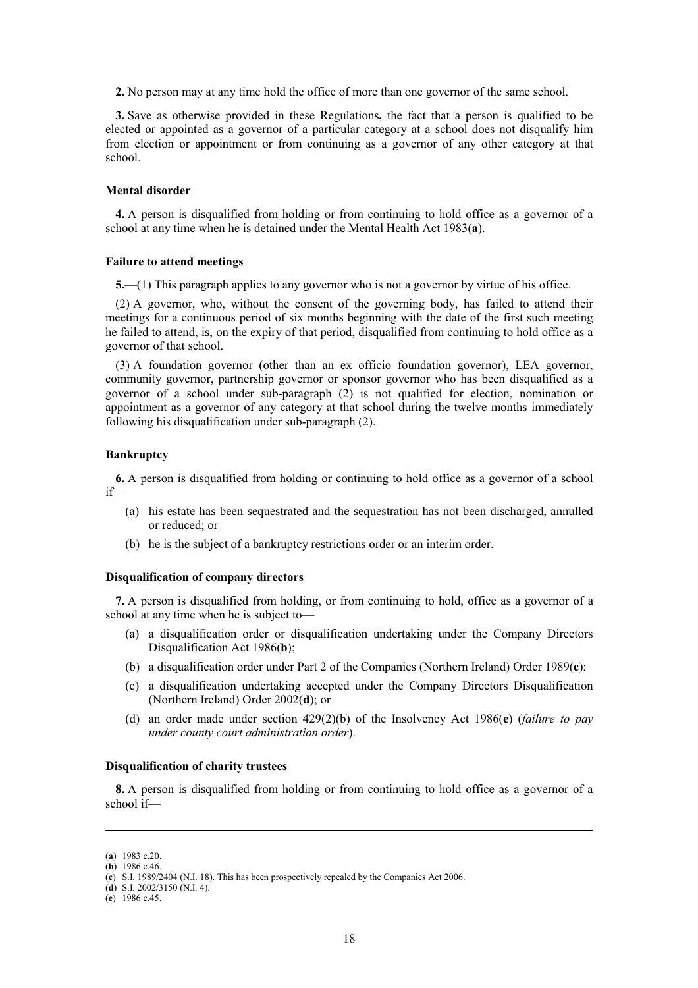**2.** No person may at any time hold the office of more than one governor of the same school.

**3.** Save as otherwise provided in these Regulations**,** the fact that a person is qualified to be elected or appointed as a governor of a particular category at a school does not disqualify him from election or appointment or from continuing as a governor of any other category at that school.

### **Mental disorder**

**4.** A person is disqualified from holding or from continuing to hold office as a governor of a school at any time when he is detained under the Mental Health Act 1983(**a**).

## **Failure to attend meetings**

**5.**—(1) This paragraph applies to any governor who is not a governor by virtue of his office.

(2) A governor, who, without the consent of the governing body, has failed to attend their meetings for a continuous period of six months beginning with the date of the first such meeting he failed to attend, is, on the expiry of that period, disqualified from continuing to hold office as a governor of that school.

(3) A foundation governor (other than an ex officio foundation governor), LEA governor, community governor, partnership governor or sponsor governor who has been disqualified as a governor of a school under sub-paragraph (2) is not qualified for election, nomination or appointment as a governor of any category at that school during the twelve months immediately following his disqualification under sub-paragraph (2).

### **Bankruptcy**

**6.** A person is disqualified from holding or continuing to hold office as a governor of a school if—

- (a) his estate has been sequestrated and the sequestration has not been discharged, annulled or reduced; or
- (b) he is the subject of a bankruptcy restrictions order or an interim order.

## **Disqualification of company directors**

**7.** A person is disqualified from holding, or from continuing to hold, office as a governor of a school at any time when he is subject to—

- (a) a disqualification order or disqualification undertaking under the Company Directors Disqualification Act 1986(**b**);
- (b) a disqualification order under Part 2 of the Companies (Northern Ireland) Order 1989(**c**);
- (c) a disqualification undertaking accepted under the Company Directors Disqualification (Northern Ireland) Order 2002(**d**); or
- (d) an order made under section 429(2)(b) of the Insolvency Act 1986(**e**) (*failure to pay under county court administration order*).

## **Disqualification of charity trustees**

**8.** A person is disqualified from holding or from continuing to hold office as a governor of a school if—

<sup>(</sup>**a**) 1983 c.20.

<sup>(</sup>**b**) 1986 c.46.

<sup>(</sup>**c**) S.I. 1989/2404 (N.I. 18). This has been prospectively repealed by the Companies Act 2006.

<sup>(</sup>**d**) S.I. 2002/3150 (N.I. 4).

<sup>(</sup>**e**) 1986 c.45.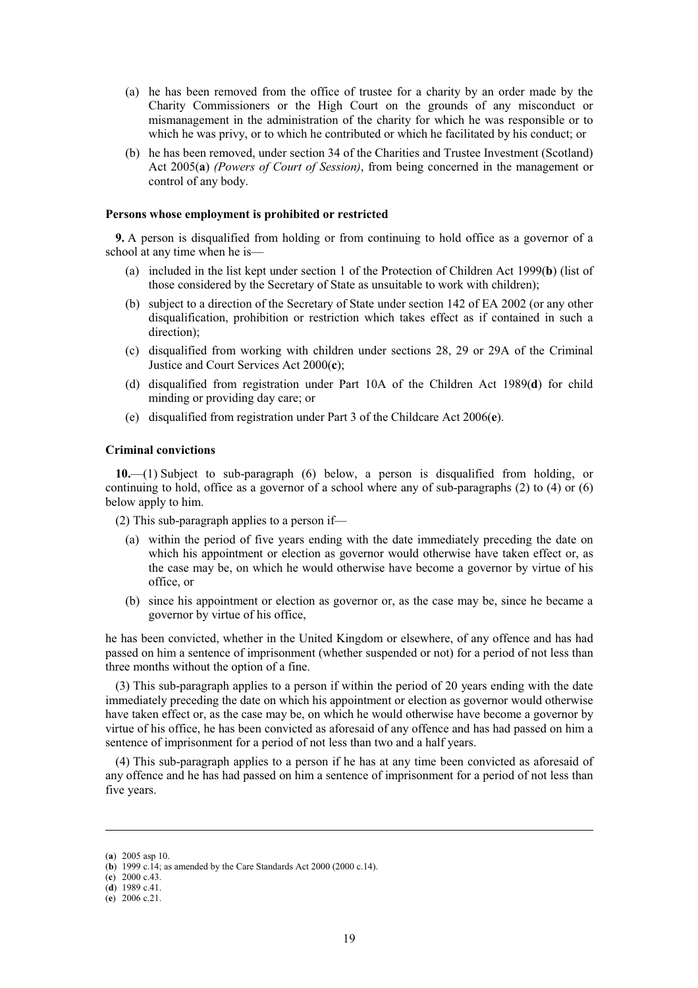- (a) he has been removed from the office of trustee for a charity by an order made by the Charity Commissioners or the High Court on the grounds of any misconduct or mismanagement in the administration of the charity for which he was responsible or to which he was privy, or to which he contributed or which he facilitated by his conduct; or
- (b) he has been removed, under section 34 of the Charities and Trustee Investment (Scotland) Act 2005(**a**) *(Powers of Court of Session)*, from being concerned in the management or control of any body.

### **Persons whose employment is prohibited or restricted**

**9.** A person is disqualified from holding or from continuing to hold office as a governor of a school at any time when he is—

- (a) included in the list kept under section 1 of the Protection of Children Act 1999(**b**) (list of those considered by the Secretary of State as unsuitable to work with children);
- (b) subject to a direction of the Secretary of State under section 142 of EA 2002 (or any other disqualification, prohibition or restriction which takes effect as if contained in such a direction);
- (c) disqualified from working with children under sections 28, 29 or 29A of the Criminal Justice and Court Services Act 2000(**c**);
- (d) disqualified from registration under Part 10A of the Children Act 1989(**d**) for child minding or providing day care; or
- (e) disqualified from registration under Part 3 of the Childcare Act 2006(**e**).

## **Criminal convictions**

**10.**—(1) Subject to sub-paragraph (6) below, a person is disqualified from holding, or continuing to hold, office as a governor of a school where any of sub-paragraphs  $(2)$  to  $(4)$  or  $(6)$ below apply to him.

(2) This sub-paragraph applies to a person if—

- (a) within the period of five years ending with the date immediately preceding the date on which his appointment or election as governor would otherwise have taken effect or, as the case may be, on which he would otherwise have become a governor by virtue of his office, or
- (b) since his appointment or election as governor or, as the case may be, since he became a governor by virtue of his office,

he has been convicted, whether in the United Kingdom or elsewhere, of any offence and has had passed on him a sentence of imprisonment (whether suspended or not) for a period of not less than three months without the option of a fine.

(3) This sub-paragraph applies to a person if within the period of 20 years ending with the date immediately preceding the date on which his appointment or election as governor would otherwise have taken effect or, as the case may be, on which he would otherwise have become a governor by virtue of his office, he has been convicted as aforesaid of any offence and has had passed on him a sentence of imprisonment for a period of not less than two and a half years.

(4) This sub-paragraph applies to a person if he has at any time been convicted as aforesaid of any offence and he has had passed on him a sentence of imprisonment for a period of not less than five years.

<sup>(</sup>**a**) 2005 asp 10.

<sup>(</sup>**b**) 1999 c.14; as amended by the Care Standards Act 2000 (2000 c.14).

<sup>(</sup>**c**) 2000 c.43.

<sup>(</sup>**d**) 1989 c.41.

<sup>(</sup>**e**) 2006 c.21.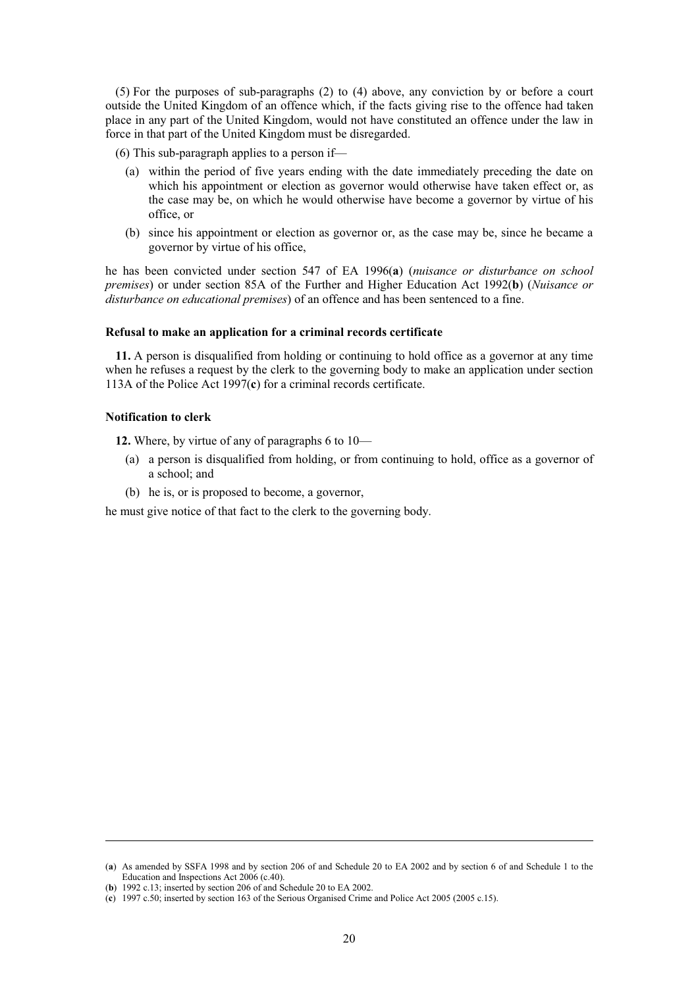(5) For the purposes of sub-paragraphs (2) to (4) above, any conviction by or before a court outside the United Kingdom of an offence which, if the facts giving rise to the offence had taken place in any part of the United Kingdom, would not have constituted an offence under the law in force in that part of the United Kingdom must be disregarded.

(6) This sub-paragraph applies to a person if—

- (a) within the period of five years ending with the date immediately preceding the date on which his appointment or election as governor would otherwise have taken effect or, as the case may be, on which he would otherwise have become a governor by virtue of his office, or
- (b) since his appointment or election as governor or, as the case may be, since he became a governor by virtue of his office,

he has been convicted under section 547 of EA 1996(**a**) (*nuisance or disturbance on school premises*) or under section 85A of the Further and Higher Education Act 1992(**b**) (*Nuisance or disturbance on educational premises*) of an offence and has been sentenced to a fine.

#### **Refusal to make an application for a criminal records certificate**

**11.** A person is disqualified from holding or continuing to hold office as a governor at any time when he refuses a request by the clerk to the governing body to make an application under section 113A of the Police Act 1997(**c**) for a criminal records certificate.

## **Notification to clerk**

**12.** Where, by virtue of any of paragraphs 6 to 10—

- (a) a person is disqualified from holding, or from continuing to hold, office as a governor of a school; and
- (b) he is, or is proposed to become, a governor,

he must give notice of that fact to the clerk to the governing body.

<sup>(</sup>**a**) As amended by SSFA 1998 and by section 206 of and Schedule 20 to EA 2002 and by section 6 of and Schedule 1 to the Education and Inspections Act 2006 (c.40).

<sup>(</sup>**b**) 1992 c.13; inserted by section 206 of and Schedule 20 to EA 2002.

<sup>(</sup>**c**) 1997 c.50; inserted by section 163 of the Serious Organised Crime and Police Act 2005 (2005 c.15).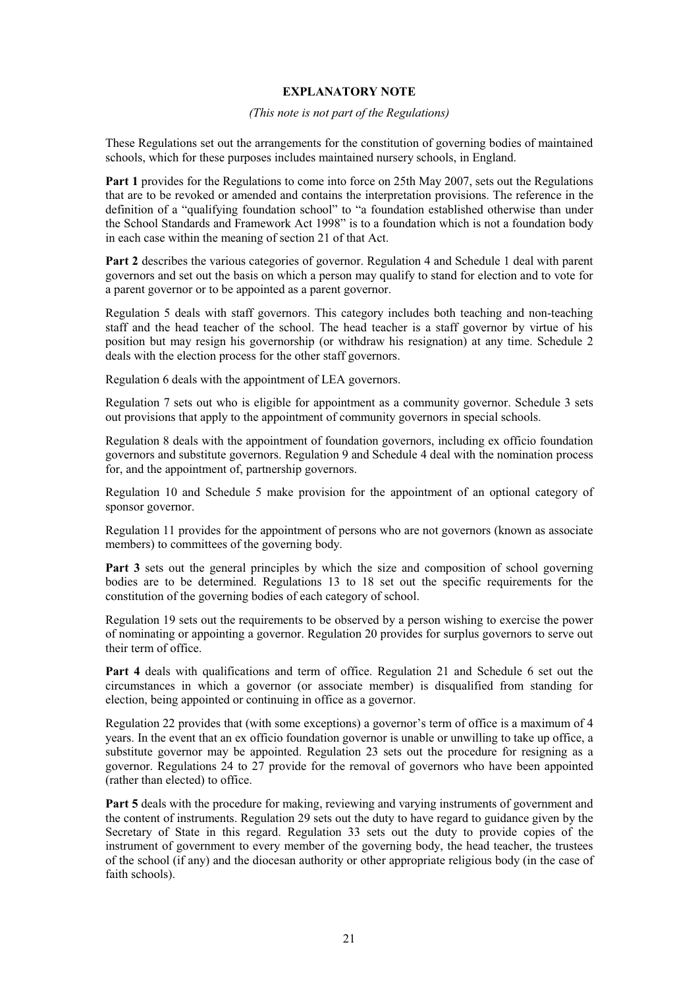# **EXPLANATORY NOTE**

## *(This note is not part of the Regulations)*

These Regulations set out the arrangements for the constitution of governing bodies of maintained schools, which for these purposes includes maintained nursery schools, in England.

**Part 1** provides for the Regulations to come into force on 25th May 2007, sets out the Regulations that are to be revoked or amended and contains the interpretation provisions. The reference in the definition of a "qualifying foundation school" to "a foundation established otherwise than under the School Standards and Framework Act 1998" is to a foundation which is not a foundation body in each case within the meaning of section 21 of that Act.

**Part 2** describes the various categories of governor. Regulation 4 and Schedule 1 deal with parent governors and set out the basis on which a person may qualify to stand for election and to vote for a parent governor or to be appointed as a parent governor.

Regulation 5 deals with staff governors. This category includes both teaching and non-teaching staff and the head teacher of the school. The head teacher is a staff governor by virtue of his position but may resign his governorship (or withdraw his resignation) at any time. Schedule 2 deals with the election process for the other staff governors.

Regulation 6 deals with the appointment of LEA governors.

Regulation 7 sets out who is eligible for appointment as a community governor. Schedule 3 sets out provisions that apply to the appointment of community governors in special schools.

Regulation 8 deals with the appointment of foundation governors, including ex officio foundation governors and substitute governors. Regulation 9 and Schedule 4 deal with the nomination process for, and the appointment of, partnership governors.

Regulation 10 and Schedule 5 make provision for the appointment of an optional category of sponsor governor.

Regulation 11 provides for the appointment of persons who are not governors (known as associate members) to committees of the governing body.

**Part 3** sets out the general principles by which the size and composition of school governing bodies are to be determined. Regulations 13 to 18 set out the specific requirements for the constitution of the governing bodies of each category of school.

Regulation 19 sets out the requirements to be observed by a person wishing to exercise the power of nominating or appointing a governor. Regulation 20 provides for surplus governors to serve out their term of office.

**Part 4** deals with qualifications and term of office. Regulation 21 and Schedule 6 set out the circumstances in which a governor (or associate member) is disqualified from standing for election, being appointed or continuing in office as a governor.

Regulation 22 provides that (with some exceptions) a governor's term of office is a maximum of 4 years. In the event that an ex officio foundation governor is unable or unwilling to take up office, a substitute governor may be appointed. Regulation 23 sets out the procedure for resigning as a governor. Regulations 24 to 27 provide for the removal of governors who have been appointed (rather than elected) to office.

**Part 5** deals with the procedure for making, reviewing and varying instruments of government and the content of instruments. Regulation 29 sets out the duty to have regard to guidance given by the Secretary of State in this regard. Regulation 33 sets out the duty to provide copies of the instrument of government to every member of the governing body, the head teacher, the trustees of the school (if any) and the diocesan authority or other appropriate religious body (in the case of faith schools).